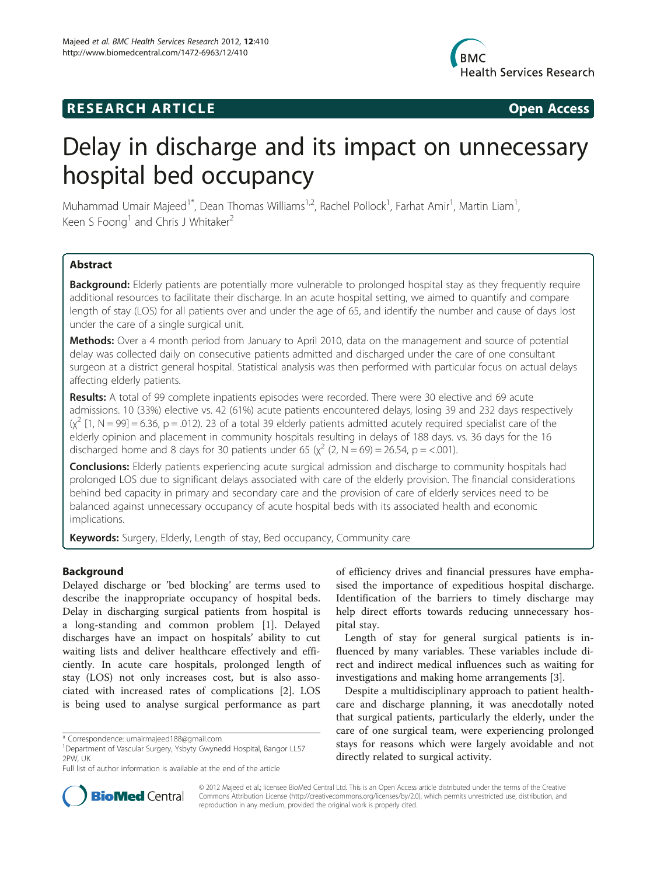

## **RESEARCH ARTICLE Example 2014 CONSIDERING CONSIDERING CONSIDERING CONSIDERING CONSIDERING CONSIDERING CONSIDERING CONSIDERING CONSIDERING CONSIDERING CONSIDERING CONSIDERING CONSIDERING CONSIDERING CONSIDERING CONSIDE**



# Delay in discharge and its impact on unnecessary hospital bed occupancy

Muhammad Umair Majeed<sup>1\*</sup>, Dean Thomas Williams<sup>1,2</sup>, Rachel Pollock<sup>1</sup>, Farhat Amir<sup>1</sup>, Martin Liam<sup>1</sup> , Keen S Foong<sup>1</sup> and Chris J Whitaker<sup>2</sup>

## Abstract

Background: Elderly patients are potentially more vulnerable to prolonged hospital stay as they frequently require additional resources to facilitate their discharge. In an acute hospital setting, we aimed to quantify and compare length of stay (LOS) for all patients over and under the age of 65, and identify the number and cause of days lost under the care of a single surgical unit.

Methods: Over a 4 month period from January to April 2010, data on the management and source of potential delay was collected daily on consecutive patients admitted and discharged under the care of one consultant surgeon at a district general hospital. Statistical analysis was then performed with particular focus on actual delays affecting elderly patients.

Results: A total of 99 complete inpatients episodes were recorded. There were 30 elective and 69 acute admissions. 10 (33%) elective vs. 42 (61%) acute patients encountered delays, losing 39 and 232 days respectively  $(x^2 [1, N = 99] = 6.36, p = .012)$ . 23 of a total 39 elderly patients admitted acutely required specialist care of the elderly opinion and placement in community hospitals resulting in delays of 188 days. vs. 36 days for the 16 discharged home and 8 days for 30 patients under 65 ( $\chi^2$  (2, N = 69) = 26.54, p = <.001).

**Conclusions:** Elderly patients experiencing acute surgical admission and discharge to community hospitals had prolonged LOS due to significant delays associated with care of the elderly provision. The financial considerations behind bed capacity in primary and secondary care and the provision of care of elderly services need to be balanced against unnecessary occupancy of acute hospital beds with its associated health and economic implications.

Keywords: Surgery, Elderly, Length of stay, Bed occupancy, Community care

## Background

Delayed discharge or 'bed blocking' are terms used to describe the inappropriate occupancy of hospital beds. Delay in discharging surgical patients from hospital is a long-standing and common problem [[1\]](#page-4-0). Delayed discharges have an impact on hospitals' ability to cut waiting lists and deliver healthcare effectively and efficiently. In acute care hospitals, prolonged length of stay (LOS) not only increases cost, but is also associated with increased rates of complications [[2\]](#page-4-0). LOS is being used to analyse surgical performance as part

of efficiency drives and financial pressures have emphasised the importance of expeditious hospital discharge. Identification of the barriers to timely discharge may help direct efforts towards reducing unnecessary hospital stay.

Length of stay for general surgical patients is influenced by many variables. These variables include direct and indirect medical influences such as waiting for investigations and making home arrangements [\[3\]](#page-4-0).

Despite a multidisciplinary approach to patient healthcare and discharge planning, it was anecdotally noted that surgical patients, particularly the elderly, under the care of one surgical team, were experiencing prolonged stays for reasons which were largely avoidable and not directly related to surgical activity.



© 2012 Majeed et al.; licensee BioMed Central Ltd. This is an Open Access article distributed under the terms of the Creative Commons Attribution License [\(http://creativecommons.org/licenses/by/2.0\)](http://creativecommons.org/licenses/by/2.0), which permits unrestricted use, distribution, and reproduction in any medium, provided the original work is properly cited.

<sup>\*</sup> Correspondence: [umairmajeed188@gmail.com](mailto:umairmajeed188@gmail.com) <sup>1</sup>

<sup>&</sup>lt;sup>1</sup>Department of Vascular Surgery, Ysbyty Gwynedd Hospital, Bangor LL57 2PW, UK

Full list of author information is available at the end of the article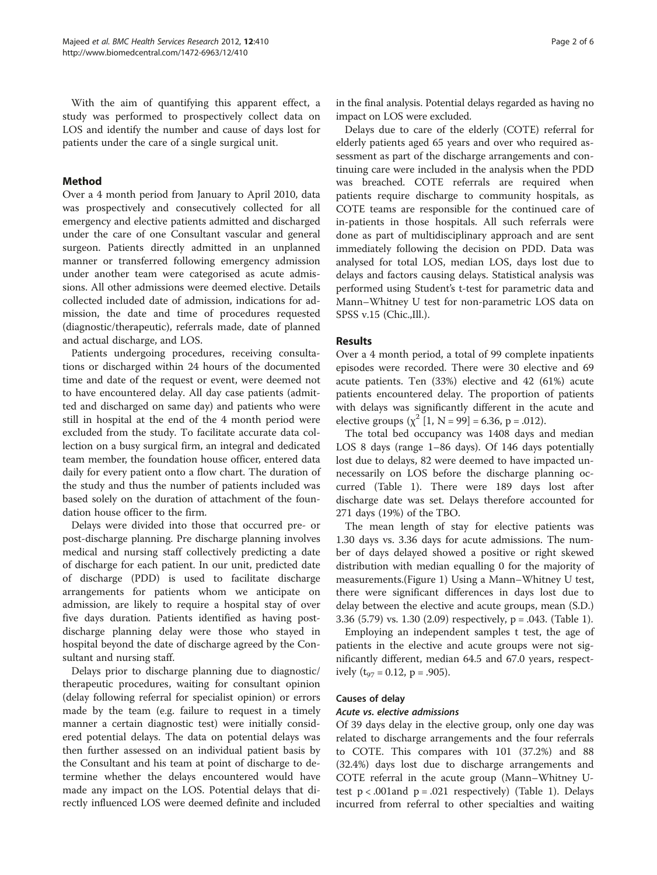With the aim of quantifying this apparent effect, a study was performed to prospectively collect data on LOS and identify the number and cause of days lost for patients under the care of a single surgical unit.

## Method

Over a 4 month period from January to April 2010, data was prospectively and consecutively collected for all emergency and elective patients admitted and discharged under the care of one Consultant vascular and general surgeon. Patients directly admitted in an unplanned manner or transferred following emergency admission under another team were categorised as acute admissions. All other admissions were deemed elective. Details collected included date of admission, indications for admission, the date and time of procedures requested (diagnostic/therapeutic), referrals made, date of planned and actual discharge, and LOS.

Patients undergoing procedures, receiving consultations or discharged within 24 hours of the documented time and date of the request or event, were deemed not to have encountered delay. All day case patients (admitted and discharged on same day) and patients who were still in hospital at the end of the 4 month period were excluded from the study. To facilitate accurate data collection on a busy surgical firm, an integral and dedicated team member, the foundation house officer, entered data daily for every patient onto a flow chart. The duration of the study and thus the number of patients included was based solely on the duration of attachment of the foundation house officer to the firm.

Delays were divided into those that occurred pre- or post-discharge planning. Pre discharge planning involves medical and nursing staff collectively predicting a date of discharge for each patient. In our unit, predicted date of discharge (PDD) is used to facilitate discharge arrangements for patients whom we anticipate on admission, are likely to require a hospital stay of over five days duration. Patients identified as having postdischarge planning delay were those who stayed in hospital beyond the date of discharge agreed by the Consultant and nursing staff.

Delays prior to discharge planning due to diagnostic/ therapeutic procedures, waiting for consultant opinion (delay following referral for specialist opinion) or errors made by the team (e.g. failure to request in a timely manner a certain diagnostic test) were initially considered potential delays. The data on potential delays was then further assessed on an individual patient basis by the Consultant and his team at point of discharge to determine whether the delays encountered would have made any impact on the LOS. Potential delays that directly influenced LOS were deemed definite and included in the final analysis. Potential delays regarded as having no impact on LOS were excluded.

Delays due to care of the elderly (COTE) referral for elderly patients aged 65 years and over who required assessment as part of the discharge arrangements and continuing care were included in the analysis when the PDD was breached. COTE referrals are required when patients require discharge to community hospitals, as COTE teams are responsible for the continued care of in-patients in those hospitals. All such referrals were done as part of multidisciplinary approach and are sent immediately following the decision on PDD. Data was analysed for total LOS, median LOS, days lost due to delays and factors causing delays. Statistical analysis was performed using Student's t-test for parametric data and Mann–Whitney U test for non-parametric LOS data on SPSS v.15 (Chic.,Ill.).

## Results

Over a 4 month period, a total of 99 complete inpatients episodes were recorded. There were 30 elective and 69 acute patients. Ten (33%) elective and 42 (61%) acute patients encountered delay. The proportion of patients with delays was significantly different in the acute and elective groups  $(\chi^2 [1, N = 99] = 6.36, p = .012)$ .

The total bed occupancy was 1408 days and median LOS 8 days (range 1–86 days). Of 146 days potentially lost due to delays, 82 were deemed to have impacted unnecessarily on LOS before the discharge planning occurred (Table [1](#page-2-0)). There were 189 days lost after discharge date was set. Delays therefore accounted for 271 days (19%) of the TBO.

The mean length of stay for elective patients was 1.30 days vs. 3.36 days for acute admissions. The number of days delayed showed a positive or right skewed distribution with median equalling 0 for the majority of measurements.(Figure [1](#page-2-0)) Using a Mann–Whitney U test, there were significant differences in days lost due to delay between the elective and acute groups, mean (S.D.) 3.36 (5.79) vs. 1.30 (2.09) respectively, p = .043. (Table [1\)](#page-2-0).

Employing an independent samples t test, the age of patients in the elective and acute groups were not significantly different, median 64.5 and 67.0 years, respectively  $(t_{97} = 0.12, p = .905)$ .

#### Causes of delay

## Acute vs. elective admissions

Of 39 days delay in the elective group, only one day was related to discharge arrangements and the four referrals to COTE. This compares with 101 (37.2%) and 88 (32.4%) days lost due to discharge arrangements and COTE referral in the acute group (Mann–Whitney Utest  $p < .001$  and  $p = .021$  respectively) (Table [1\)](#page-2-0). Delays incurred from referral to other specialties and waiting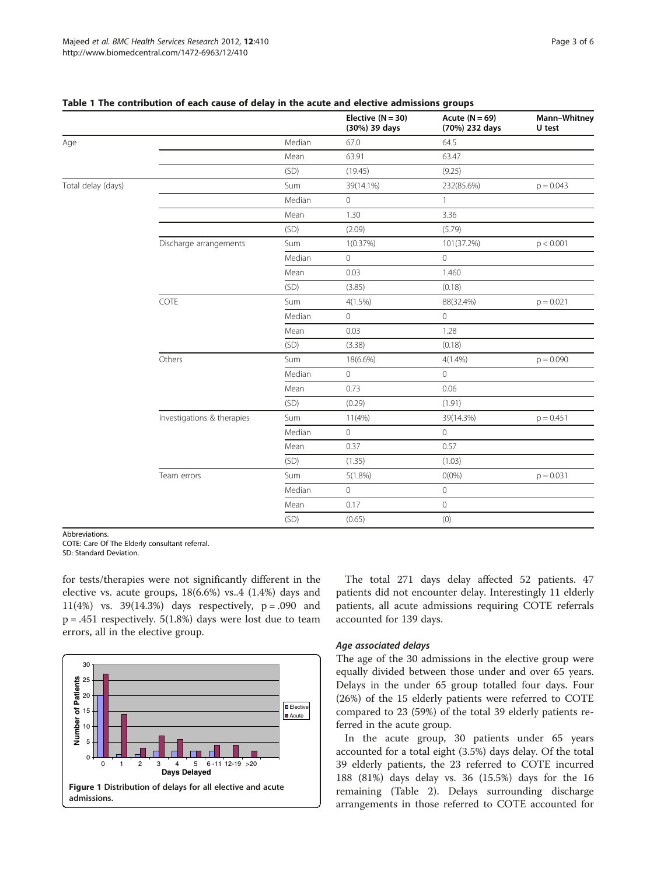|                    |                            |        | Elective $(N = 30)$<br>(30%) 39 days | Acute ( $N = 69$ )<br>(70%) 232 days | Mann-Whitney<br>U test |
|--------------------|----------------------------|--------|--------------------------------------|--------------------------------------|------------------------|
| Age                |                            | Median | 67.0                                 | 64.5                                 |                        |
|                    |                            | Mean   | 63.91                                | 63.47                                |                        |
|                    |                            | (SD)   | (19.45)                              | (9.25)                               |                        |
| Total delay (days) |                            | Sum    | 39(14.1%)                            | 232(85.6%)                           | $p = 0.043$            |
|                    |                            | Median | $\mathsf{O}\xspace$                  | $\mathbf{1}$                         |                        |
|                    |                            | Mean   | 1.30                                 | 3.36                                 |                        |
|                    |                            | (SD)   | (2.09)                               | (5.79)                               |                        |
|                    | Discharge arrangements     | Sum    | 1(0.37%)                             | 101(37.2%)                           | p < 0.001              |
|                    |                            | Median | $\mathbf{0}$                         | $\mathsf{O}\xspace$                  |                        |
|                    |                            | Mean   | 0.03                                 | 1.460                                |                        |
|                    |                            | (SD)   | (3.85)                               | (0.18)                               |                        |
|                    | COTE                       | Sum    | 4(1.5%)                              | 88(32.4%)                            | $p = 0.021$            |
|                    |                            | Median | 0                                    | $\mathsf{O}\xspace$                  |                        |
|                    |                            | Mean   | 0.03                                 | 1.28                                 |                        |
|                    |                            | (SD)   | (3.38)                               | (0.18)                               |                        |
|                    | Others                     | Sum    | 18(6.6%)                             | $4(1.4\%)$                           | $p = 0.090$            |
|                    |                            | Median | 0                                    | $\mathsf{O}\xspace$                  |                        |
|                    |                            | Mean   | 0.73                                 | 0.06                                 |                        |
|                    |                            | (SD)   | (0.29)                               | (1.91)                               |                        |
|                    | Investigations & therapies | Sum    | 11(4% )                              | 39(14.3%)                            | $p = 0.451$            |
|                    |                            | Median | $\circ$                              | $\overline{0}$                       |                        |
|                    |                            | Mean   | 0.37                                 | 0.57                                 |                        |
|                    |                            | (SD)   | (1.35)                               | (1.03)                               |                        |
|                    | Team errors                | Sum    | 5(1.8%)                              | $O(0\%)$                             | $p = 0.031$            |
|                    |                            | Median | 0                                    | $\mathsf{O}\xspace$                  |                        |
|                    |                            | Mean   | 0.17                                 | $\mathbf 0$                          |                        |
|                    |                            | (SD)   | (0.65)                               | (0)                                  |                        |

#### <span id="page-2-0"></span>Table 1 The contribution of each cause of delay in the acute and elective admissions groups

Abbreviations.

COTE: Care Of The Elderly consultant referral.

SD: Standard Deviation.

for tests/therapies were not significantly different in the elective vs. acute groups, 18(6.6%) vs..4 (1.4%) days and 11(4%) vs. 39(14.3%) days respectively,  $p = .090$  and  $p = .451$  respectively. 5(1.8%) days were lost due to team errors, all in the elective group.



The total 271 days delay affected 52 patients. 47 patients did not encounter delay. Interestingly 11 elderly patients, all acute admissions requiring COTE referrals accounted for 139 days.

#### Age associated delays

The age of the 30 admissions in the elective group were equally divided between those under and over 65 years. Delays in the under 65 group totalled four days. Four (26%) of the 15 elderly patients were referred to COTE compared to 23 (59%) of the total 39 elderly patients referred in the acute group.

In the acute group, 30 patients under 65 years accounted for a total eight (3.5%) days delay. Of the total 39 elderly patients, the 23 referred to COTE incurred 188 (81%) days delay vs. 36 (15.5%) days for the 16 remaining (Table [2\)](#page-3-0). Delays surrounding discharge arrangements in those referred to COTE accounted for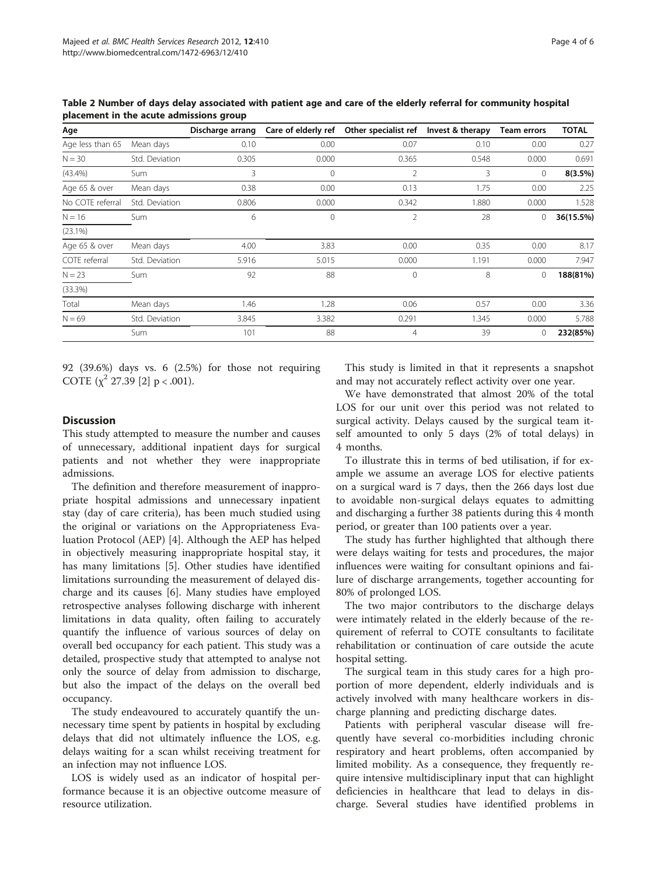| Age              |                | Discharge arrang | Care of elderly ref | Other specialist ref lnvest & therapy |       | Team errors  | <b>TOTAL</b> |
|------------------|----------------|------------------|---------------------|---------------------------------------|-------|--------------|--------------|
| Age less than 65 | Mean days      | 0.10             | 0.00                | 0.07                                  | 0.10  | 0.00         | 0.27         |
| $N = 30$         | Std. Deviation | 0.305            | 0.000               | 0.365                                 | 0.548 | 0.000        | 0.691        |
| $(43.4\%)$       | Sum            | 3                | 0                   | 2                                     | 3     | $\mathbf 0$  | $8(3.5\%)$   |
| Age 65 & over    | Mean days      | 0.38             | 0.00                | 0.13                                  | 1.75  | 0.00         | 2.25         |
| No COTE referral | Std. Deviation | 0.806            | 0.000               | 0.342                                 | 1.880 | 0.000        | 1.528        |
| $N = 16$         | <b>Sum</b>     | 6                | $\Omega$            | $\mathfrak{D}$                        | 28    | $\mathbf{0}$ | 36(15.5%)    |
| $(23.1\%)$       |                |                  |                     |                                       |       |              |              |
| Age 65 & over    | Mean days      | 4.00             | 3.83                | 0.00                                  | 0.35  | 0.00         | 8.17         |
| COTE referral    | Std. Deviation | 5.916            | 5.015               | 0.000                                 | 1.191 | 0.000        | 7.947        |
| $N = 23$         | Sum            | 92               | 88                  | $\Omega$                              | 8     | $\mathbf{0}$ | 188(81%)     |
| (33.3%)          |                |                  |                     |                                       |       |              |              |
| Total            | Mean days      | 1.46             | 1.28                | 0.06                                  | 0.57  | 0.00         | 3.36         |
| $N = 69$         | Std. Deviation | 3.845            | 3.382               | 0.291                                 | 1.345 | 0.000        | 5.788        |
|                  | Sum            | 101              | 88                  | 4                                     | 39    | $\mathbf 0$  | 232(85%)     |

<span id="page-3-0"></span>Table 2 Number of days delay associated with patient age and care of the elderly referral for community hospital placement in the acute admissions group

92 (39.6%) days vs. 6 (2.5%) for those not requiring COTE  $(\chi^2 27.39 \,[2] \, \text{p} < .001)$  $(\chi^2 27.39 \,[2] \, \text{p} < .001)$  $(\chi^2 27.39 \,[2] \, \text{p} < .001)$ .

This study is limited in that it represents a snapshot and may not accurately reflect activity over one year.

## **Discussion**

This study attempted to measure the number and causes of unnecessary, additional inpatient days for surgical patients and not whether they were inappropriate admissions.

The definition and therefore measurement of inappropriate hospital admissions and unnecessary inpatient stay (day of care criteria), has been much studied using the original or variations on the Appropriateness Evaluation Protocol (AEP) [[4\]](#page-5-0). Although the AEP has helped in objectively measuring inappropriate hospital stay, it has many limitations [[5\]](#page-5-0). Other studies have identified limitations surrounding the measurement of delayed discharge and its causes [\[6](#page-5-0)]. Many studies have employed retrospective analyses following discharge with inherent limitations in data quality, often failing to accurately quantify the influence of various sources of delay on overall bed occupancy for each patient. This study was a detailed, prospective study that attempted to analyse not only the source of delay from admission to discharge, but also the impact of the delays on the overall bed occupancy.

The study endeavoured to accurately quantify the unnecessary time spent by patients in hospital by excluding delays that did not ultimately influence the LOS, e.g. delays waiting for a scan whilst receiving treatment for an infection may not influence LOS.

LOS is widely used as an indicator of hospital performance because it is an objective outcome measure of resource utilization.

We have demonstrated that almost 20% of the total LOS for our unit over this period was not related to surgical activity. Delays caused by the surgical team itself amounted to only 5 days (2% of total delays) in 4 months.

To illustrate this in terms of bed utilisation, if for example we assume an average LOS for elective patients on a surgical ward is 7 days, then the 266 days lost due to avoidable non-surgical delays equates to admitting and discharging a further 38 patients during this 4 month period, or greater than 100 patients over a year.

The study has further highlighted that although there were delays waiting for tests and procedures, the major influences were waiting for consultant opinions and failure of discharge arrangements, together accounting for 80% of prolonged LOS.

The two major contributors to the discharge delays were intimately related in the elderly because of the requirement of referral to COTE consultants to facilitate rehabilitation or continuation of care outside the acute hospital setting.

The surgical team in this study cares for a high proportion of more dependent, elderly individuals and is actively involved with many healthcare workers in discharge planning and predicting discharge dates.

Patients with peripheral vascular disease will frequently have several co-morbidities including chronic respiratory and heart problems, often accompanied by limited mobility. As a consequence, they frequently require intensive multidisciplinary input that can highlight deficiencies in healthcare that lead to delays in discharge. Several studies have identified problems in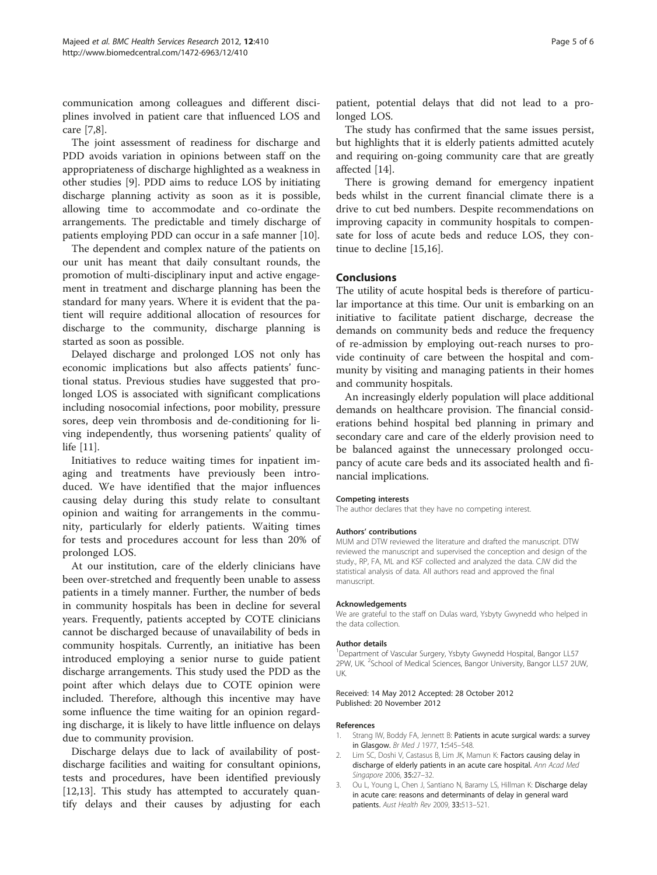<span id="page-4-0"></span>communication among colleagues and different disciplines involved in patient care that influenced LOS and care [[7,8\]](#page-5-0).

The joint assessment of readiness for discharge and PDD avoids variation in opinions between staff on the appropriateness of discharge highlighted as a weakness in other studies [[9\]](#page-5-0). PDD aims to reduce LOS by initiating discharge planning activity as soon as it is possible, allowing time to accommodate and co-ordinate the arrangements. The predictable and timely discharge of patients employing PDD can occur in a safe manner [[10\]](#page-5-0).

The dependent and complex nature of the patients on our unit has meant that daily consultant rounds, the promotion of multi-disciplinary input and active engagement in treatment and discharge planning has been the standard for many years. Where it is evident that the patient will require additional allocation of resources for discharge to the community, discharge planning is started as soon as possible.

Delayed discharge and prolonged LOS not only has economic implications but also affects patients' functional status. Previous studies have suggested that prolonged LOS is associated with significant complications including nosocomial infections, poor mobility, pressure sores, deep vein thrombosis and de-conditioning for living independently, thus worsening patients' quality of life [\[11\]](#page-5-0).

Initiatives to reduce waiting times for inpatient imaging and treatments have previously been introduced. We have identified that the major influences causing delay during this study relate to consultant opinion and waiting for arrangements in the community, particularly for elderly patients. Waiting times for tests and procedures account for less than 20% of prolonged LOS.

At our institution, care of the elderly clinicians have been over-stretched and frequently been unable to assess patients in a timely manner. Further, the number of beds in community hospitals has been in decline for several years. Frequently, patients accepted by COTE clinicians cannot be discharged because of unavailability of beds in community hospitals. Currently, an initiative has been introduced employing a senior nurse to guide patient discharge arrangements. This study used the PDD as the point after which delays due to COTE opinion were included. Therefore, although this incentive may have some influence the time waiting for an opinion regarding discharge, it is likely to have little influence on delays due to community provision.

Discharge delays due to lack of availability of postdischarge facilities and waiting for consultant opinions, tests and procedures, have been identified previously [[12,13\]](#page-5-0). This study has attempted to accurately quantify delays and their causes by adjusting for each patient, potential delays that did not lead to a prolonged LOS.

The study has confirmed that the same issues persist, but highlights that it is elderly patients admitted acutely and requiring on-going community care that are greatly affected [[14](#page-5-0)].

There is growing demand for emergency inpatient beds whilst in the current financial climate there is a drive to cut bed numbers. Despite recommendations on improving capacity in community hospitals to compensate for loss of acute beds and reduce LOS, they continue to decline [[15,16\]](#page-5-0).

## Conclusions

The utility of acute hospital beds is therefore of particular importance at this time. Our unit is embarking on an initiative to facilitate patient discharge, decrease the demands on community beds and reduce the frequency of re-admission by employing out-reach nurses to provide continuity of care between the hospital and community by visiting and managing patients in their homes and community hospitals.

An increasingly elderly population will place additional demands on healthcare provision. The financial considerations behind hospital bed planning in primary and secondary care and care of the elderly provision need to be balanced against the unnecessary prolonged occupancy of acute care beds and its associated health and financial implications.

#### Competing interests

The author declares that they have no competing interest.

#### Authors' contributions

MUM and DTW reviewed the literature and drafted the manuscript. DTW reviewed the manuscript and supervised the conception and design of the study., RP, FA, ML and KSF collected and analyzed the data. CJW did the statistical analysis of data. All authors read and approved the final manuscript.

#### Acknowledgements

We are grateful to the staff on Dulas ward, Ysbyty Gwynedd who helped in the data collection.

#### Author details

<sup>1</sup>Department of Vascular Surgery, Ysbyty Gwynedd Hospital, Bangor LL57 2PW, UK. <sup>2</sup> School of Medical Sciences, Bangor University, Bangor LL57 2UW, UK.

#### Received: 14 May 2012 Accepted: 28 October 2012 Published: 20 November 2012

#### References

- 1. Strang IW, Boddy FA, Jennett B: Patients in acute surgical wards: a survey in Glasgow. Br Med J 1977, 1:545-548.
- 2. Lim SC, Doshi V, Castasus B, Lim JK, Mamun K: Factors causing delay in discharge of elderly patients in an acute care hospital. Ann Acad Med Singapore 2006, 35:27–32.
- 3. Ou L, Young L, Chen J, Santiano N, Baramy LS, Hillman K: Discharge delay in acute care: reasons and determinants of delay in general ward patients. Aust Health Rev 2009, 33:513–521.